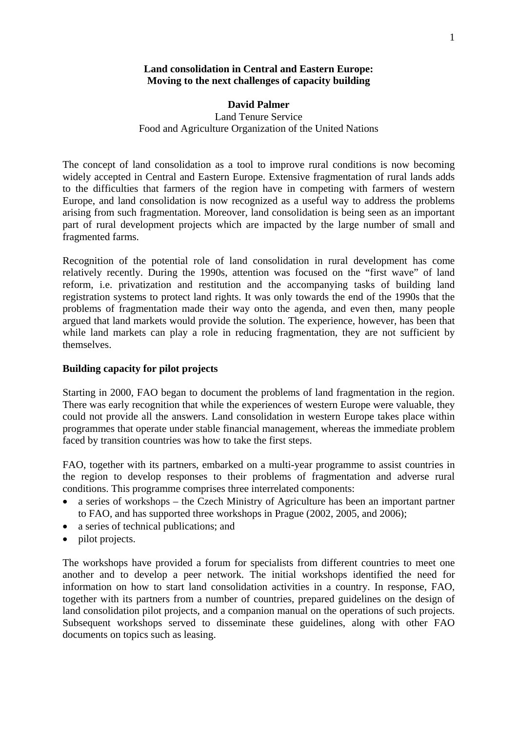#### **Land consolidation in Central and Eastern Europe: Moving to the next challenges of capacity building**

# **David Palmer**  Land Tenure Service Food and Agriculture Organization of the United Nations

The concept of land consolidation as a tool to improve rural conditions is now becoming widely accepted in Central and Eastern Europe. Extensive fragmentation of rural lands adds to the difficulties that farmers of the region have in competing with farmers of western Europe, and land consolidation is now recognized as a useful way to address the problems arising from such fragmentation. Moreover, land consolidation is being seen as an important part of rural development projects which are impacted by the large number of small and fragmented farms.

Recognition of the potential role of land consolidation in rural development has come relatively recently. During the 1990s, attention was focused on the "first wave" of land reform, i.e. privatization and restitution and the accompanying tasks of building land registration systems to protect land rights. It was only towards the end of the 1990s that the problems of fragmentation made their way onto the agenda, and even then, many people argued that land markets would provide the solution. The experience, however, has been that while land markets can play a role in reducing fragmentation, they are not sufficient by themselves.

## **Building capacity for pilot projects**

Starting in 2000, FAO began to document the problems of land fragmentation in the region. There was early recognition that while the experiences of western Europe were valuable, they could not provide all the answers. Land consolidation in western Europe takes place within programmes that operate under stable financial management, whereas the immediate problem faced by transition countries was how to take the first steps.

FAO, together with its partners, embarked on a multi-year programme to assist countries in the region to develop responses to their problems of fragmentation and adverse rural conditions. This programme comprises three interrelated components:

- a series of workshops the Czech Ministry of Agriculture has been an important partner to FAO, and has supported three workshops in Prague (2002, 2005, and 2006);
- a series of technical publications; and
- pilot projects.

The workshops have provided a forum for specialists from different countries to meet one another and to develop a peer network. The initial workshops identified the need for information on how to start land consolidation activities in a country. In response, FAO, together with its partners from a number of countries, prepared guidelines on the design of land consolidation pilot projects, and a companion manual on the operations of such projects. Subsequent workshops served to disseminate these guidelines, along with other FAO documents on topics such as leasing.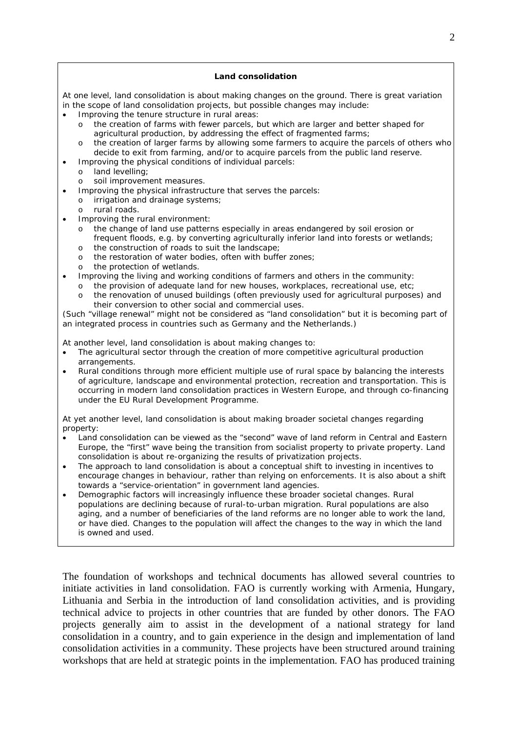#### **Land consolidation**

At one level, land consolidation is about making changes on the ground. There is great variation in the scope of land consolidation projects, but possible changes may include:

- Improving the tenure structure in rural areas:
	- the creation of farms with fewer parcels, but which are larger and better shaped for agricultural production, by addressing the effect of fragmented farms;
	- the creation of larger farms by allowing some farmers to acquire the parcels of others who decide to exit from farming, and/or to acquire parcels from the public land reserve.
- Improving the physical conditions of individual parcels:
	- o land levelling;
	- o soil improvement measures.
- Improving the physical infrastructure that serves the parcels:
	- o irrigation and drainage systems;
	- o rural roads.
- Improving the rural environment:
	- o the change of land use patterns especially in areas endangered by soil erosion or frequent floods, e.g. by converting agriculturally inferior land into forests or wetlands; o the construction of roads to suit the landscape;
	-
	- o the restoration of water bodies, often with buffer zones;
	- o the protection of wetlands.
- Improving the living and working conditions of farmers and others in the community:
	- o the provision of adequate land for new houses, workplaces, recreational use, etc;
	- o the renovation of unused buildings (often previously used for agricultural purposes) and their conversion to other social and commercial uses.

(Such "village renewal" might not be considered as "land consolidation" but it is becoming part of an integrated process in countries such as Germany and the Netherlands.)

At another level, land consolidation is about making changes to:

- The agricultural sector through the creation of more competitive agricultural production arrangements.
- Rural conditions through more efficient multiple use of rural space by balancing the interests of agriculture, landscape and environmental protection, recreation and transportation. This is occurring in modern land consolidation practices in Western Europe, and through co-financing under the EU Rural Development Programme.

At yet another level, land consolidation is about making broader societal changes regarding property:

- Land consolidation can be viewed as the "second" wave of land reform in Central and Eastern Europe, the "first" wave being the transition from socialist property to private property. Land consolidation is about re-organizing the results of privatization projects.
- The approach to land consolidation is about a conceptual shift to investing in incentives to encourage changes in behaviour, rather than relying on enforcements. It is also about a shift towards a "service-orientation" in government land agencies.
- Demographic factors will increasingly influence these broader societal changes. Rural populations are declining because of rural-to-urban migration. Rural populations are also aging, and a number of beneficiaries of the land reforms are no longer able to work the land, or have died. Changes to the population will affect the changes to the way in which the land is owned and used.

The foundation of workshops and technical documents has allowed several countries to initiate activities in land consolidation. FAO is currently working with Armenia, Hungary, Lithuania and Serbia in the introduction of land consolidation activities, and is providing technical advice to projects in other countries that are funded by other donors. The FAO projects generally aim to assist in the development of a national strategy for land consolidation in a country, and to gain experience in the design and implementation of land consolidation activities in a community. These projects have been structured around training workshops that are held at strategic points in the implementation. FAO has produced training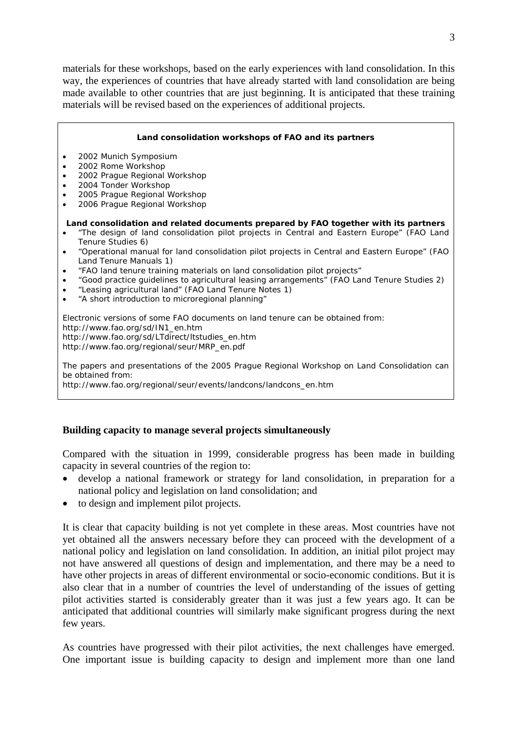materials for these workshops, based on the early experiences with land consolidation. In this way, the experiences of countries that have already started with land consolidation are being made available to other countries that are just beginning. It is anticipated that these training materials will be revised based on the experiences of additional projects.

|                                                                                                                                                                                                                      | Land consolidation workshops of FAO and its partners                                                                                                                                                                                                                                                                                                                                                             |
|----------------------------------------------------------------------------------------------------------------------------------------------------------------------------------------------------------------------|------------------------------------------------------------------------------------------------------------------------------------------------------------------------------------------------------------------------------------------------------------------------------------------------------------------------------------------------------------------------------------------------------------------|
|                                                                                                                                                                                                                      | 2002 Munich Symposium<br>2002 Rome Workshop<br>2002 Prague Regional Workshop<br>2004 Tonder Workshop<br>2005 Prague Regional Workshop<br>2006 Prague Regional Workshop                                                                                                                                                                                                                                           |
|                                                                                                                                                                                                                      | Land consolidation and related documents prepared by FAO together with its partners<br>"The design of land consolidation pilot projects in Central and Eastern Europe" (FAO Land<br>Tenure Studies 6)                                                                                                                                                                                                            |
|                                                                                                                                                                                                                      | "Operational manual for land consolidation pilot projects in Central and Eastern Europe" (FAO<br>Land Tenure Manuals 1)<br>"FAO land tenure training materials on land consolidation pilot projects"<br>"Good practice guidelines to agricultural leasing arrangements" (FAO Land Tenure Studies 2)<br>"Leasing agricultural land" (FAO Land Tenure Notes 1)<br>"A short introduction to microregional planning" |
| Electronic versions of some FAO documents on land tenure can be obtained from:<br>http://www.fao.org/sd/IN1_en.htm<br>http://www.fao.org/sd/LTdirect/Itstudies_en.htm<br>http://www.fao.org/regional/seur/MRP_en.pdf |                                                                                                                                                                                                                                                                                                                                                                                                                  |
|                                                                                                                                                                                                                      | The papers and presentations of the 2005 Prague Regional Workshop on Land Consolidation can<br>be obtained from:<br>http://www.fao.org/regional/seur/events/landcons/landcons_en.htm                                                                                                                                                                                                                             |

## **Building capacity to manage several projects simultaneously**

Compared with the situation in 1999, considerable progress has been made in building capacity in several countries of the region to:

- develop a national framework or strategy for land consolidation, in preparation for a national policy and legislation on land consolidation; and
- to design and implement pilot projects.

It is clear that capacity building is not yet complete in these areas. Most countries have not yet obtained all the answers necessary before they can proceed with the development of a national policy and legislation on land consolidation. In addition, an initial pilot project may not have answered all questions of design and implementation, and there may be a need to have other projects in areas of different environmental or socio-economic conditions. But it is also clear that in a number of countries the level of understanding of the issues of getting pilot activities started is considerably greater than it was just a few years ago. It can be anticipated that additional countries will similarly make significant progress during the next few years.

As countries have progressed with their pilot activities, the next challenges have emerged. One important issue is building capacity to design and implement more than one land